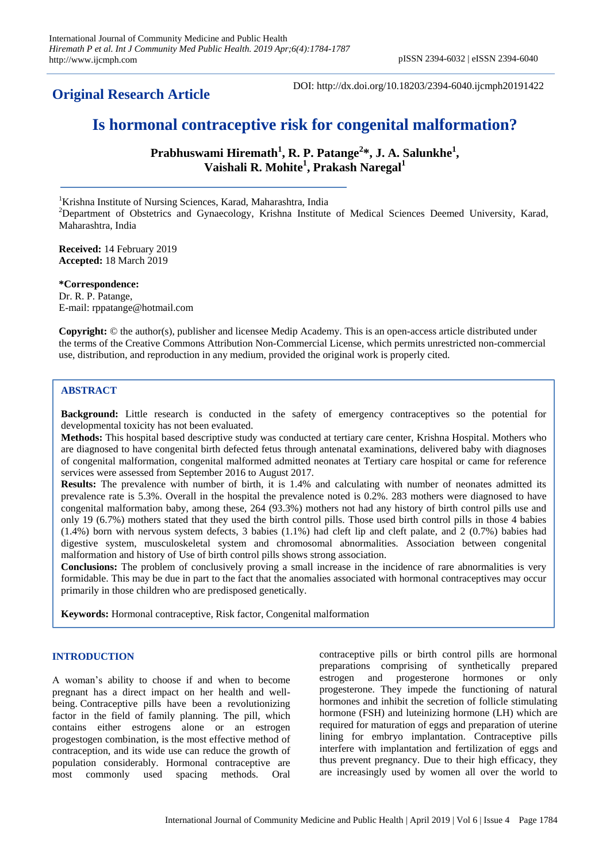**Original Research Article**

DOI: http://dx.doi.org/10.18203/2394-6040.ijcmph20191422

# **Is hormonal contraceptive risk for congenital malformation?**

Prabhuswami Hiremath<sup>1</sup>, R. P. Patange<sup>2</sup>\*, J. A. Salunkhe<sup>1</sup>, **Vaishali R. Mohite<sup>1</sup> , Prakash Naregal<sup>1</sup>**

<sup>1</sup>Krishna Institute of Nursing Sciences, Karad, Maharashtra, India

<sup>2</sup>Department of Obstetrics and Gynaecology, Krishna Institute of Medical Sciences Deemed University, Karad, Maharashtra, India

**Received:** 14 February 2019 **Accepted:** 18 March 2019

**\*Correspondence:** Dr. R. P. Patange, E-mail: rppatange@hotmail.com

**Copyright:** © the author(s), publisher and licensee Medip Academy. This is an open-access article distributed under the terms of the Creative Commons Attribution Non-Commercial License, which permits unrestricted non-commercial use, distribution, and reproduction in any medium, provided the original work is properly cited.

## **ABSTRACT**

**Background:** Little research is conducted in the safety of emergency contraceptives so the potential for developmental toxicity has not been evaluated.

**Methods:** This hospital based descriptive study was conducted at tertiary care center, Krishna Hospital. Mothers who are diagnosed to have congenital birth defected fetus through antenatal examinations, delivered baby with diagnoses of congenital malformation, congenital malformed admitted neonates at Tertiary care hospital or came for reference services were assessed from September 2016 to August 2017.

**Results:** The prevalence with number of birth, it is 1.4% and calculating with number of neonates admitted its prevalence rate is 5.3%. Overall in the hospital the prevalence noted is 0.2%. 283 mothers were diagnosed to have congenital malformation baby, among these, 264 (93.3%) mothers not had any history of birth control pills use and only 19 (6.7%) mothers stated that they used the birth control pills. Those used birth control pills in those 4 babies (1.4%) born with nervous system defects, 3 babies (1.1%) had cleft lip and cleft palate, and 2 (0.7%) babies had digestive system, musculoskeletal system and chromosomal abnormalities. Association between congenital malformation and history of Use of birth control pills shows strong association.

**Conclusions:** The problem of conclusively proving a small increase in the incidence of rare abnormalities is very formidable. This may be due in part to the fact that the anomalies associated with hormonal contraceptives may occur primarily in those children who are predisposed genetically.

**Keywords:** Hormonal contraceptive, Risk factor, Congenital malformation

### **INTRODUCTION**

A woman's ability to choose if and when to become pregnant has a direct impact on her health and wellbeing. Contraceptive pills have been a revolutionizing factor in the field of family planning. The pill, which contains either estrogens alone or an estrogen progestogen combination, is the most effective method of contraception, and its wide use can reduce the growth of population considerably. Hormonal contraceptive are most commonly used spacing methods. Oral contraceptive pills or birth control pills are hormonal preparations comprising of synthetically prepared estrogen and progesterone hormones or only progesterone. They impede the functioning of natural hormones and inhibit the secretion of follicle stimulating hormone (FSH) and luteinizing hormone (LH) which are required for maturation of eggs and preparation of uterine lining for embryo implantation. Contraceptive pills interfere with implantation and fertilization of eggs and thus prevent pregnancy. Due to their high efficacy, they are increasingly used by women all over the world to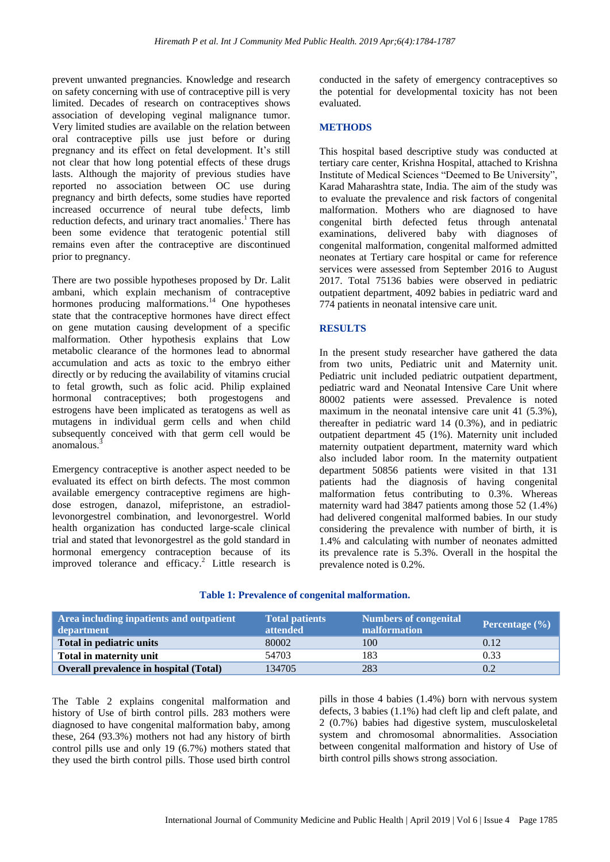prevent unwanted pregnancies. Knowledge and research on safety concerning with use of contraceptive pill is very limited. Decades of research on contraceptives shows association of developing veginal malignance tumor. Very limited studies are available on the relation between oral contraceptive pills use just before or during pregnancy and its effect on fetal development. It's still not clear that how long potential effects of these drugs lasts. Although the majority of previous studies have reported no association between OC use during pregnancy and birth defects, some studies have reported increased occurrence of neural tube defects, limb reduction defects, and urinary tract anomalies.<sup>1</sup> There has been some evidence that teratogenic potential still remains even after the contraceptive are discontinued prior to pregnancy.

There are two possible hypotheses proposed by Dr. Lalit ambani, which explain mechanism of contraceptive hormones producing malformations.<sup>14</sup> One hypotheses state that the contraceptive hormones have direct effect on gene mutation causing development of a specific malformation. Other hypothesis explains that Low metabolic clearance of the hormones lead to abnormal accumulation and acts as toxic to the embryo either directly or by reducing the availability of vitamins crucial to fetal growth, such as folic acid. Philip explained hormonal contraceptives; both progestogens and estrogens have been implicated as teratogens as well as mutagens in individual germ cells and when child subsequently conceived with that germ cell would be anomalous. 3

Emergency contraceptive is another aspect needed to be evaluated its effect on birth defects. The most common available emergency contraceptive regimens are highdose estrogen, danazol, mifepristone, an estradiollevonorgestrel combination, and levonorgestrel. World health organization has conducted large-scale clinical trial and stated that levonorgestrel as the gold standard in hormonal emergency contraception because of its improved tolerance and efficacy. <sup>2</sup> Little research is conducted in the safety of emergency contraceptives so the potential for developmental toxicity has not been evaluated.

#### **METHODS**

This hospital based descriptive study was conducted at tertiary care center, Krishna Hospital, attached to Krishna Institute of Medical Sciences "Deemed to Be University", Karad Maharashtra state, India. The aim of the study was to evaluate the prevalence and risk factors of congenital malformation. Mothers who are diagnosed to have congenital birth defected fetus through antenatal examinations, delivered baby with diagnoses of congenital malformation, congenital malformed admitted neonates at Tertiary care hospital or came for reference services were assessed from September 2016 to August 2017. Total 75136 babies were observed in pediatric outpatient department, 4092 babies in pediatric ward and 774 patients in neonatal intensive care unit.

#### **RESULTS**

In the present study researcher have gathered the data from two units, Pediatric unit and Maternity unit. Pediatric unit included pediatric outpatient department, pediatric ward and Neonatal Intensive Care Unit where 80002 patients were assessed. Prevalence is noted maximum in the neonatal intensive care unit 41 (5.3%), thereafter in pediatric ward 14 (0.3%), and in pediatric outpatient department 45 (1%). Maternity unit included maternity outpatient department, maternity ward which also included labor room. In the maternity outpatient department 50856 patients were visited in that 131 patients had the diagnosis of having congenital malformation fetus contributing to 0.3%. Whereas maternity ward had 3847 patients among those 52 (1.4%) had delivered congenital malformed babies. In our study considering the prevalence with number of birth, it is 1.4% and calculating with number of neonates admitted its prevalence rate is 5.3%. Overall in the hospital the prevalence noted is 0.2%.

| Area including inpatients and outpatient<br>department | <b>Total patients</b><br><b>attended</b> | <b>Numbers of congenital</b><br>malformation | Percentage $(\% )$ |
|--------------------------------------------------------|------------------------------------------|----------------------------------------------|--------------------|
| Total in pediatric units                               | 80002                                    | 100                                          | 0.12               |
| Total in maternity unit                                | 54703                                    | 183                                          | 0.33               |
| <b>Overall prevalence in hospital (Total)</b>          | 134705                                   | 283                                          | 0.2                |

### **Table 1: Prevalence of congenital malformation.**

The Table 2 explains congenital malformation and history of Use of birth control pills. 283 mothers were diagnosed to have congenital malformation baby, among these, 264 (93.3%) mothers not had any history of birth control pills use and only 19 (6.7%) mothers stated that they used the birth control pills. Those used birth control pills in those 4 babies (1.4%) born with nervous system defects, 3 babies (1.1%) had cleft lip and cleft palate, and 2 (0.7%) babies had digestive system, musculoskeletal system and chromosomal abnormalities. Association between congenital malformation and history of Use of birth control pills shows strong association.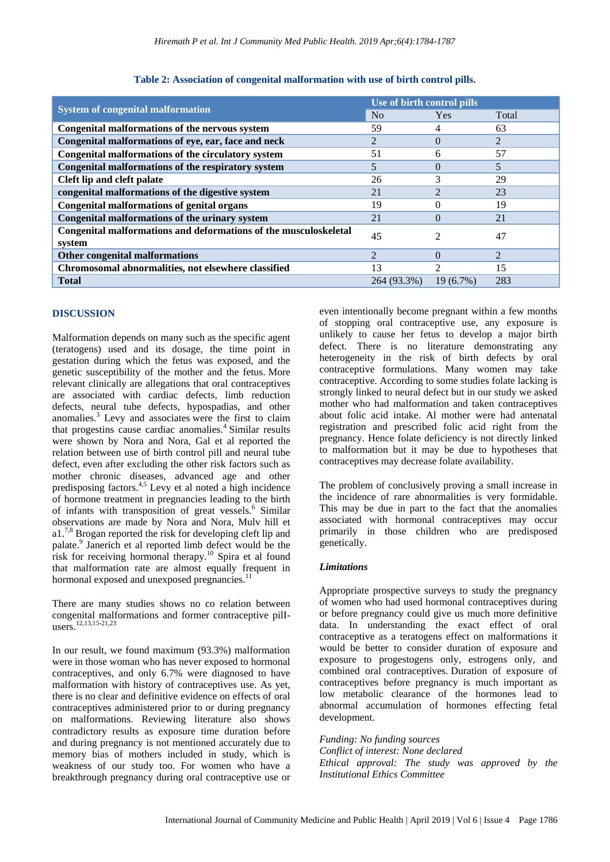|                                                                        | Use of birth control pills  |                |                |
|------------------------------------------------------------------------|-----------------------------|----------------|----------------|
| <b>System of congenital malformation</b>                               | N <sub>0</sub>              | <b>Yes</b>     | Total          |
| Congenital malformations of the nervous system                         | 59                          | 4              | 63             |
| Congenital malformations of eye, ear, face and neck                    | 2                           | $\Omega$       | $\overline{2}$ |
| Congenital malformations of the circulatory system                     | 51                          | 6              | 57             |
| Congenital malformations of the respiratory system                     | 5                           | $\Omega$       | 5              |
| Cleft lip and cleft palate                                             | 26                          | 3              | 29             |
| congenital malformations of the digestive system                       | 21                          |                | 23             |
| <b>Congenital malformations of genital organs</b>                      | 19                          | $\Omega$       | 19             |
| Congenital malformations of the urinary system                         | 21                          | $\Omega$       | 21             |
| Congenital malformations and deformations of the musculoskeletal<br>45 |                             | $\mathfrak{D}$ | 47             |
| system                                                                 |                             |                |                |
| Other congenital malformations                                         | $\mathcal{D}_{\mathcal{A}}$ | $\Omega$       | 2              |
| Chromosomal abnormalities, not elsewhere classified                    | 13                          | $\mathcal{D}$  | 15             |
| <b>Total</b>                                                           | 264 (93.3%)                 | $19(6.7\%)$    | 283            |

## **Table 2: Association of congenital malformation with use of birth control pills.**

## **DISCUSSION**

Malformation depends on many such as the specific agent (teratogens) used and its dosage, the time point in gestation during which the fetus was exposed, and the genetic susceptibility of the mother and the fetus. More relevant clinically are allegations that oral contraceptives are associated with cardiac defects, limb reduction defects, neural tube defects, hypospadias, and other anomalies. <sup>3</sup> Levy and associates were the first to claim that progestins cause cardiac anomalies.<sup>4</sup> Similar results were shown by Nora and Nora, Gal et al reported the relation between use of birth control pill and neural tube defect, even after excluding the other risk factors such as mother chronic diseases, advanced age and other predisposing factors.4,5 Levy et al noted a high incidence of hormone treatment in pregnancies leading to the birth of infants with transposition of great vessels.<sup>6</sup> Similar observations are made by Nora and Nora, Mulv hill et a1.<sup>7,8</sup> Brogan reported the risk for developing cleft lip and palate.<sup>9</sup> Janerich et al reported limb defect would be the risk for receiving hormonal therapy.<sup>10</sup> Spira et al found that malformation rate are almost equally frequent in hormonal exposed and unexposed pregnancies.<sup>11</sup>

There are many studies shows no co relation between congenital malformations and former contraceptive pilIusers. 12,13,15-21,23

In our result, we found maximum (93.3%) malformation were in those woman who has never exposed to hormonal contraceptives, and only 6.7% were diagnosed to have malformation with history of contraceptives use. As yet, there is no clear and definitive evidence on effects of oral contraceptives administered prior to or during pregnancy on malformations. Reviewing literature also shows contradictory results as exposure time duration before and during pregnancy is not mentioned accurately due to memory bias of mothers included in study, which is weakness of our study too. For women who have a breakthrough pregnancy during oral contraceptive use or even intentionally become pregnant within a few months of stopping oral contraceptive use, any exposure is unlikely to cause her fetus to develop a major birth defect. There is no literature demonstrating any heterogeneity in the risk of birth defects by oral contraceptive formulations. Many women may take contraceptive. According to some studies folate lacking is strongly linked to neural defect but in our study we asked mother who had malformation and taken contraceptives about folic acid intake. Al mother were had antenatal registration and prescribed folic acid right from the pregnancy. Hence folate deficiency is not directly linked to malformation but it may be due to hypotheses that contraceptives may decrease folate availability.

The problem of conclusively proving a small increase in the incidence of rare abnormalities is very formidable. This may be due in part to the fact that the anomalies associated with hormonal contraceptives may occur primarily in those children who are predisposed genetically.

## *Limitations*

Appropriate prospective surveys to study the pregnancy of women who had used hormonal contraceptives during or before pregnancy could give us much more definitive data. In understanding the exact effect of oral contraceptive as a teratogens effect on malformations it would be better to consider duration of exposure and exposure to progestogens only, estrogens only, and combined oral contraceptives. Duration of exposure of contraceptives before pregnancy is much important as low metabolic clearance of the hormones lead to abnormal accumulation of hormones effecting fetal development.

*Funding: No funding sources Conflict of interest: None declared Ethical approval: The study was approved by the Institutional Ethics Committee*